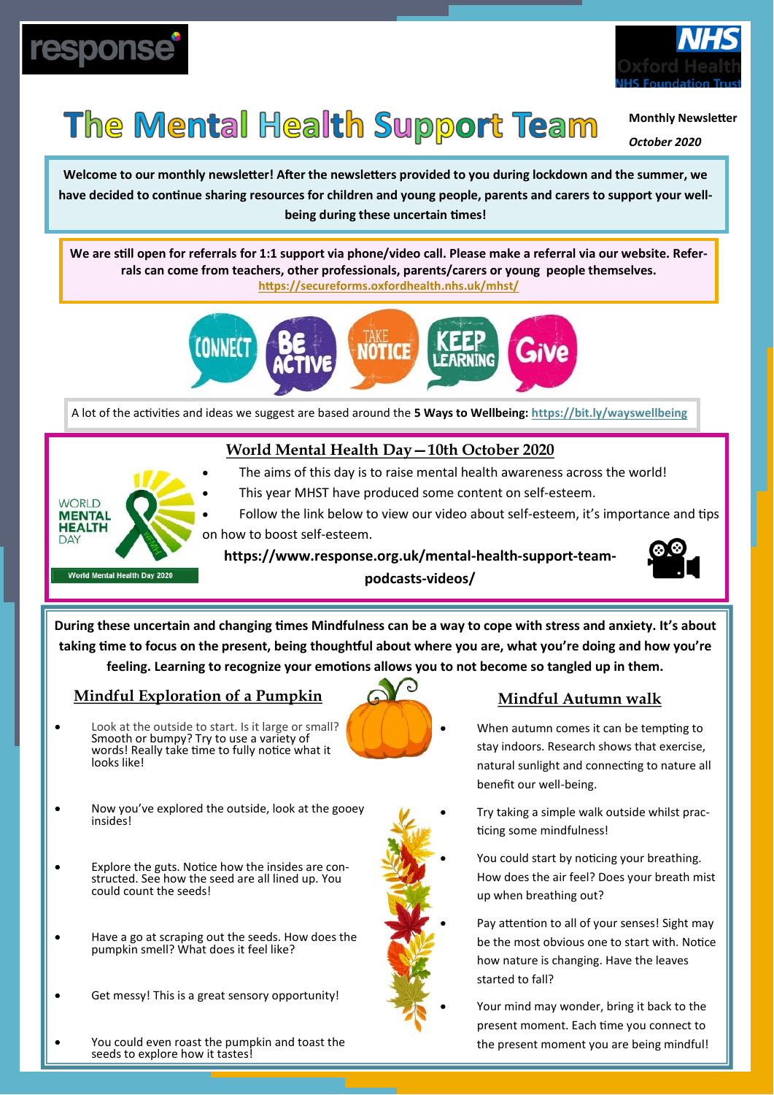



# The Mental Health Support Team

**Monthly Newsletter**

*October 2020*

**Welcome to our monthly newsletter! After the newsletters provided to you during lockdown and the summer, we have decided to continue sharing resources for children and young people, parents and carers to support your wellbeing during these uncertain times!**

**We are still open for referrals for 1:1 support via phone/video call. Please make a referral via our website. Referrals can come from teachers, other professionals, parents/carers or young people themselves. <https://secureforms.oxfordhealth.nhs.uk/mhst/>**



A lot of the activities and ideas we suggest are based around the **5 Ways to Wellbeing: <https://bit.ly/wayswellbeing>**

### **World Mental Health Day—10th October 2020**

**WORLD MENTAL HEALTH** DAY World Mental Health Day 202

This year MHST have produced some content on self-esteem. • Follow the link below to view our video about self-esteem, it's importance and tips on how to boost self-esteem.

The aims of this day is to raise mental health awareness across the world!

**https://www.response.org.uk/mental-health-support-teampodcasts-videos/** 



**During these uncertain and changing times Mindfulness can be a way to cope with stress and anxiety. It's about taking time to focus on the present, being thoughtful about where you are, what you're doing and how you're feeling. Learning to recognize your emotions allows you to not become so tangled up in them.**

### **Mindful Exploration of a Pumpkin**

- Look at the outside to start. Is it large or small? Smooth or bumpy? Try to use a variety of words! Really take time to fully notice what it looks like!
- 

#### **Mindful Autumn walk**

- When autumn comes it can be tempting to stay indoors. Research shows that exercise, natural sunlight and connecting to nature all benefit our well-being.
- Now you've explored the outside, look at the gooey insides!
- Explore the guts. Notice how the insides are constructed. See how the seed are all lined up. You could count the seeds!
- Have a go at scraping out the seeds. How does the pumpkin smell? What does it feel like?
- Get messy! This is a great sensory opportunity!



• Try taking a simple walk outside whilst practicing some mindfulness! You could start by noticing your breathing. How does the air feel? Does your breath mist

up when breathing out?

- 
- Pay attention to all of your senses! Sight may be the most obvious one to start with. Notice how nature is changing. Have the leaves started to fall?

• Your mind may wonder, bring it back to the present moment. Each time you connect to the present moment you are being mindful!